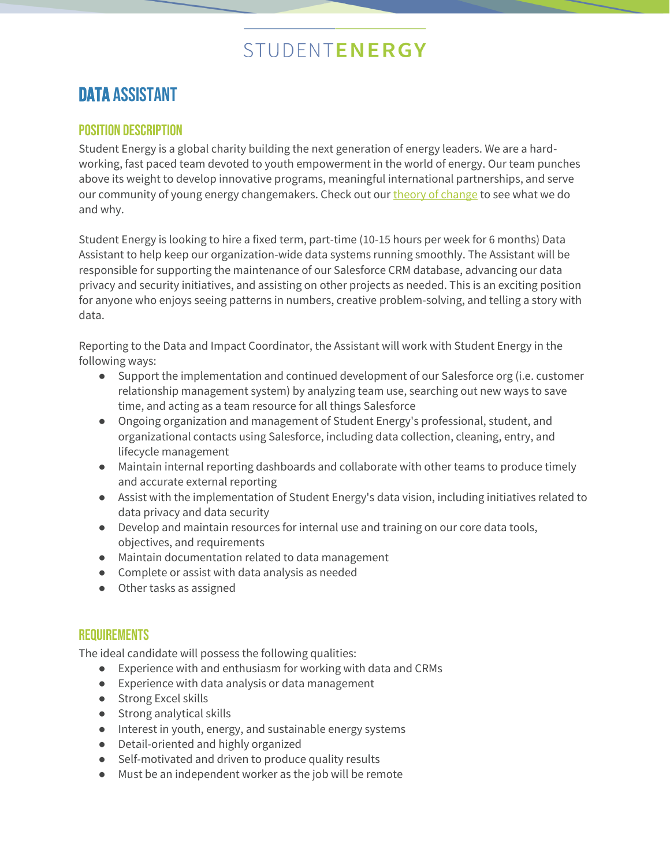# STUDENTENERGY

### DATA assistant

### POSITION DESCRIPTION

Student Energy is a global charity building the next generation of energy leaders. We are a hardworking, fast paced team devoted to youth empowerment in the world of energy. Our team punches above its weight to develop innovative programs, meaningful international partnerships, and serve our community of young energy changemakers. Check out ou[r theory of change](https://www.studentenergy.org/studentenergy) to see what we do and why.

Student Energy is looking to hire a fixed term, part-time (10-15 hours per week for 6 months) Data Assistant to help keep our organization-wide data systems running smoothly. The Assistant will be responsible for supporting the maintenance of our Salesforce CRM database, advancing our data privacy and security initiatives, and assisting on other projects as needed. This is an exciting position for anyone who enjoys seeing patterns in numbers, creative problem-solving, and telling a story with data.

Reporting to the Data and Impact Coordinator, the Assistant will work with Student Energy in the following ways:

- Support the implementation and continued development of our Salesforce org (i.e. customer relationship management system) by analyzing team use, searching out new ways to save time, and acting as a team resource for all things Salesforce
- Ongoing organization and management of Student Energy's professional, student, and organizational contacts using Salesforce, including data collection, cleaning, entry, and lifecycle management
- Maintain internal reporting dashboards and collaborate with other teams to produce timely and accurate external reporting
- Assist with the implementation of Student Energy's data vision, including initiatives related to data privacy and data security
- Develop and maintain resources for internal use and training on our core data tools, objectives, and requirements
- Maintain documentation related to data management
- Complete or assist with data analysis as needed
- Other tasks as assigned

### **REQUIREMENTS**

The ideal candidate will possess the following qualities:

- Experience with and enthusiasm for working with data and CRMs
- Experience with data analysis or data management
- Strong Excel skills
- Strong analytical skills
- Interest in youth, energy, and sustainable energy systems
- Detail-oriented and highly organized
- Self-motivated and driven to produce quality results
- Must be an independent worker as the job will be remote